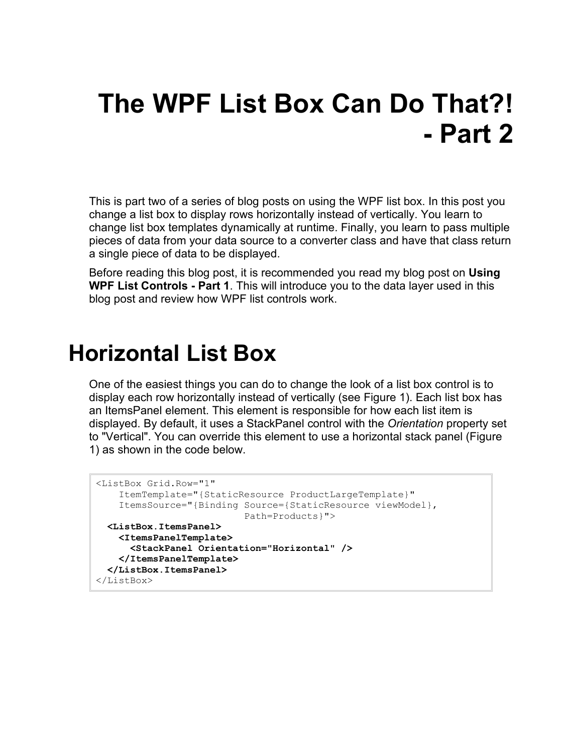# **The WPF List Box Can Do That?! - Part 2**

This is part two of a series of blog posts on using the WPF list box. In this post you change a list box to display rows horizontally instead of vertically. You learn to change list box templates dynamically at runtime. Finally, you learn to pass multiple pieces of data from your data source to a converter class and have that class return a single piece of data to be displayed.

Before reading this blog post, it is recommended you read my blog post on **Using WPF List Controls - Part 1**. This will introduce you to the data layer used in this blog post and review how WPF list controls work.

#### **Horizontal List Box**

One of the easiest things you can do to change the look of a list box control is to display each row horizontally instead of vertically (see [Figure 1\)](#page-1-0). Each list box has an ItemsPanel element. This element is responsible for how each list item is displayed. By default, it uses a StackPanel control with the *Orientation* property set to "Vertical". You can override this element to use a horizontal stack panel [\(Figure](#page-1-0)  [1\)](#page-1-0) as shown in the code below.

```
<ListBox Grid.Row="1"
     ItemTemplate="{StaticResource ProductLargeTemplate}"
     ItemsSource="{Binding Source={StaticResource viewModel},
                          Path=Products}">
  <ListBox.ItemsPanel>
     <ItemsPanelTemplate>
       <StackPanel Orientation="Horizontal" />
     </ItemsPanelTemplate>
  </ListBox.ItemsPanel>
</ListBox>
```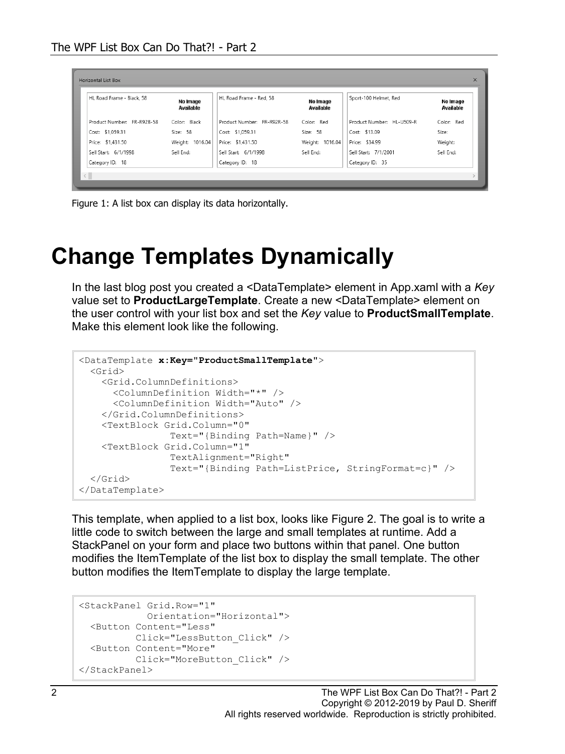| HL Road Frame - Black, 58  | No Image<br>Available | HL Road Frame - Red, 58    | No Image<br>Available | Sport-100 Helmet, Red     | No Image<br>Available |
|----------------------------|-----------------------|----------------------------|-----------------------|---------------------------|-----------------------|
| Product Number: FR-R92B-58 | Color: Black          | Product Number: FR-R92R-58 | Color: Red            | Product Number: HL-U509-R | Color: Red            |
| Cost: \$1,059.31           | Size: 58              | Cost: \$1,059.31           | Size: 58              | Cost: \$13.09             | Size:                 |
| Price: \$1,431.50          | Weight: 1016.04       | Price: \$1,431.50          | Weight: 1016.04       | Price: \$34.99            | Weight:               |
| Sell Start: 6/1/1998       | Sell End:             | Sell Start: 6/1/1998       | Sell End:             | Sell Start: 7/1/2001      | Sell End:             |
| Category ID: 18            |                       | Category ID: 18            |                       | Category ID: 35           |                       |

<span id="page-1-0"></span>Figure 1: A list box can display its data horizontally.

## **Change Templates Dynamically**

In the last blog post you created a <DataTemplate> element in App.xaml with a *Key* value set to **ProductLargeTemplate**. Create a new <DataTemplate> element on the user control with your list box and set the *Key* value to **ProductSmallTemplate**. Make this element look like the following.

```
<DataTemplate x:Key="ProductSmallTemplate">
  <Grid>
     <Grid.ColumnDefinitions>
      <ColumnDefinition Width="*" />
       <ColumnDefinition Width="Auto" />
    </Grid.ColumnDefinitions>
     <TextBlock Grid.Column="0"
                Text="{Binding Path=Name}" />
     <TextBlock Grid.Column="1"
                 TextAlignment="Right"
                 Text="{Binding Path=ListPrice, StringFormat=c}" />
  </Grid>
</DataTemplate>
```
This template, when applied to a list box, looks like [Figure 2.](#page-3-0) The goal is to write a little code to switch between the large and small templates at runtime. Add a StackPanel on your form and place two buttons within that panel. One button modifies the ItemTemplate of the list box to display the small template. The other button modifies the ItemTemplate to display the large template.

```
<StackPanel Grid.Row="1"
            Orientation="Horizontal">
   <Button Content="Less"
         Click="LessButton_Click" />
   <Button Content="More"
          Click="MoreButton_Click" />
</StackPanel>
```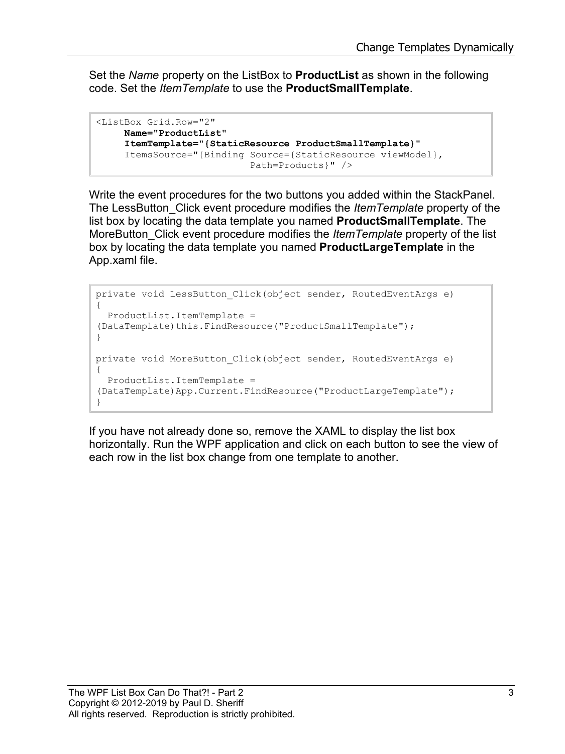Set the *Name* property on the ListBox to **ProductList** as shown in the following code. Set the *ItemTemplate* to use the **ProductSmallTemplate**.

```
<ListBox Grid.Row="2"
     Name="ProductList"
     ItemTemplate="{StaticResource ProductSmallTemplate}"
      ItemsSource="{Binding Source={StaticResource viewModel},
                            Path=Products}" />
```
Write the event procedures for the two buttons you added within the StackPanel. The LessButton\_Click event procedure modifies the *ItemTemplate* property of the list box by locating the data template you named **ProductSmallTemplate**. The MoreButton\_Click event procedure modifies the *ItemTemplate* property of the list box by locating the data template you named **ProductLargeTemplate** in the App.xaml file.

```
private void LessButton_Click(object sender, RoutedEventArgs e)
{
   ProductList.ItemTemplate = 
(DataTemplate)this.FindResource("ProductSmallTemplate");
}
private void MoreButton_Click(object sender, RoutedEventArgs e)
{
  ProductList.ItemTemplate = 
(DataTemplate)App.Current.FindResource("ProductLargeTemplate");
}
```
If you have not already done so, remove the XAML to display the list box horizontally. Run the WPF application and click on each button to see the view of each row in the list box change from one template to another.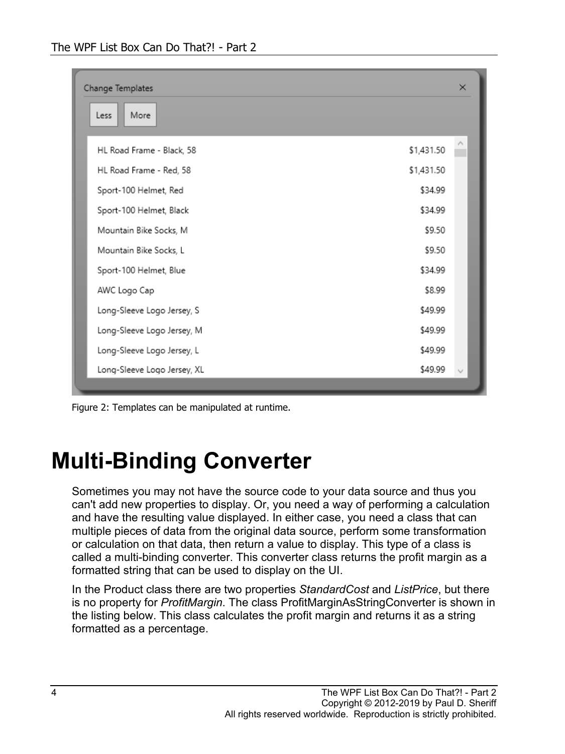| Change Templates<br>More<br>Less |            |  |  |  |
|----------------------------------|------------|--|--|--|
|                                  |            |  |  |  |
| HL Road Frame - Black, 58        | \$1,431.50 |  |  |  |
| HL Road Frame - Red, 58          | \$1,431.50 |  |  |  |
| Sport-100 Helmet, Red            | \$34.99    |  |  |  |
| Sport-100 Helmet, Black          | \$34.99    |  |  |  |
| Mountain Bike Socks, M           | \$9.50     |  |  |  |
| Mountain Bike Socks, L           | \$9.50     |  |  |  |
| Sport-100 Helmet, Blue           | \$34.99    |  |  |  |
| AWC Logo Cap                     | \$8.99     |  |  |  |
| Long-Sleeve Logo Jersey, S       | \$49.99    |  |  |  |
| Long-Sleeve Logo Jersey, M       | \$49.99    |  |  |  |
| Long-Sleeve Logo Jersey, L       | \$49.99    |  |  |  |
| Long-Sleeve Logo Jersey, XL      | \$49.99    |  |  |  |

<span id="page-3-0"></span>Figure 2: Templates can be manipulated at runtime.

## **Multi-Binding Converter**

Sometimes you may not have the source code to your data source and thus you can't add new properties to display. Or, you need a way of performing a calculation and have the resulting value displayed. In either case, you need a class that can multiple pieces of data from the original data source, perform some transformation or calculation on that data, then return a value to display. This type of a class is called a multi-binding converter. This converter class returns the profit margin as a formatted string that can be used to display on the UI.

In the Product class there are two properties *StandardCost* and *ListPrice*, but there is no property for *ProfitMargin*. The class ProfitMarginAsStringConverter is shown in the listing below. This class calculates the profit margin and returns it as a string formatted as a percentage.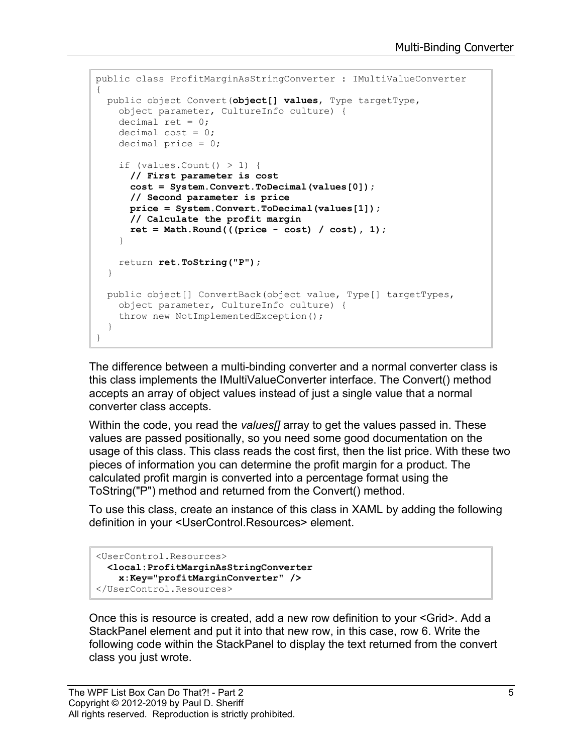```
public class ProfitMarginAsStringConverter : IMultiValueConverter
{
  public object Convert(object[] values, Type targetType,
    object parameter, CultureInfo culture) { 
    decimal ret = 0;
    decimal cost = 0;
    decimal price = 0;
    if (values. Count () > 1) {
       // First parameter is cost
       cost = System.Convert.ToDecimal(values[0]);
       // Second parameter is price
      price = System.Convert.ToDecimal(values[1]);
      // Calculate the profit margin
      ret = Math.Round(((price - cost) / cost), 1);
     }
    return ret.ToString("P");
   }
  public object[] ConvertBack(object value, Type[] targetTypes,
     object parameter, CultureInfo culture) {
     throw new NotImplementedException();
   }
}
```
The difference between a multi-binding converter and a normal converter class is this class implements the IMultiValueConverter interface. The Convert() method accepts an array of object values instead of just a single value that a normal converter class accepts.

Within the code, you read the *values[]* array to get the values passed in. These values are passed positionally, so you need some good documentation on the usage of this class. This class reads the cost first, then the list price. With these two pieces of information you can determine the profit margin for a product. The calculated profit margin is converted into a percentage format using the ToString("P") method and returned from the Convert() method.

To use this class, create an instance of this class in XAML by adding the following definition in your <UserControl.Resources> element.

```
<UserControl.Resources>
  <local:ProfitMarginAsStringConverter
     x:Key="profitMarginConverter" />
</UserControl.Resources>
```
Once this is resource is created, add a new row definition to your <Grid>. Add a StackPanel element and put it into that new row, in this case, row 6. Write the following code within the StackPanel to display the text returned from the convert class you just wrote.